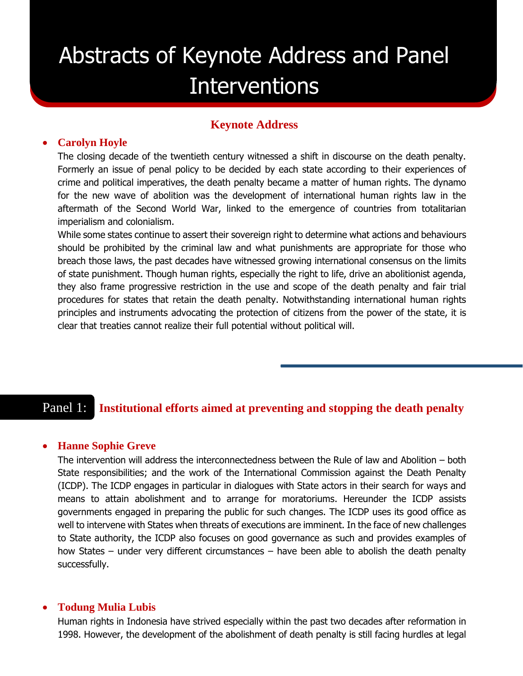# Abstracts of Keynote Address and Panel Interventions

# **Keynote Address**

## **Carolyn Hoyle**

The closing decade of the twentieth century witnessed a shift in discourse on the death penalty. Formerly an issue of penal policy to be decided by each state according to their experiences of crime and political imperatives, the death penalty became a matter of human rights. The dynamo for the new wave of abolition was the development of international human rights law in the aftermath of the Second World War, linked to the emergence of countries from totalitarian imperialism and colonialism.

While some states continue to assert their sovereign right to determine what actions and behaviours should be prohibited by the criminal law and what punishments are appropriate for those who breach those laws, the past decades have witnessed growing international consensus on the limits of state punishment. Though human rights, especially the right to life, drive an abolitionist agenda, they also frame progressive restriction in the use and scope of the death penalty and fair trial procedures for states that retain the death penalty. Notwithstanding international human rights principles and instruments advocating the protection of citizens from the power of the state, it is clear that treaties cannot realize their full potential without political will.

# Panel 1: **Institutional efforts aimed at preventing and stopping the death penalty**

#### **Hanne Sophie Greve**

The intervention will address the interconnectedness between the Rule of law and Abolition – both State responsibilities; and the work of the International Commission against the Death Penalty (ICDP). The ICDP engages in particular in dialogues with State actors in their search for ways and means to attain abolishment and to arrange for moratoriums. Hereunder the ICDP assists governments engaged in preparing the public for such changes. The ICDP uses its good office as well to intervene with States when threats of executions are imminent. In the face of new challenges to State authority, the ICDP also focuses on good governance as such and provides examples of how States – under very different circumstances – have been able to abolish the death penalty successfully.

#### **Todung Mulia Lubis**

Human rights in Indonesia have strived especially within the past two decades after reformation in 1998. However, the development of the abolishment of death penalty is still facing hurdles at legal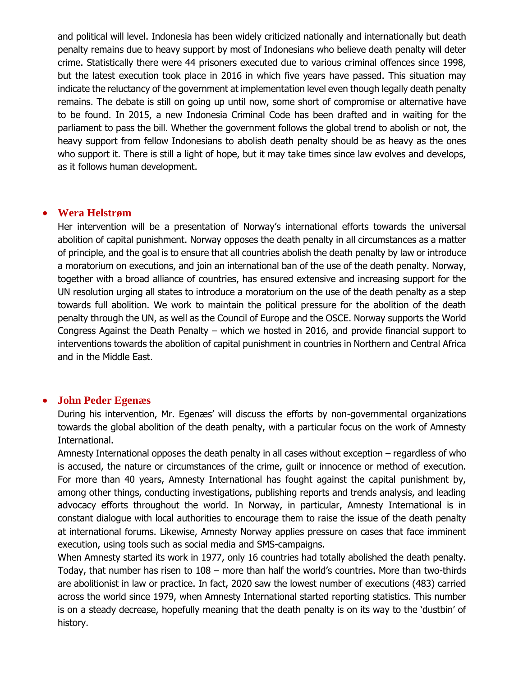and political will level. Indonesia has been widely criticized nationally and internationally but death penalty remains due to heavy support by most of Indonesians who believe death penalty will deter crime. Statistically there were 44 prisoners executed due to various criminal offences since 1998, but the latest execution took place in 2016 in which five years have passed. This situation may indicate the reluctancy of the government at implementation level even though legally death penalty remains. The debate is still on going up until now, some short of compromise or alternative have to be found. In 2015, a new Indonesia Criminal Code has been drafted and in waiting for the parliament to pass the bill. Whether the government follows the global trend to abolish or not, the heavy support from fellow Indonesians to abolish death penalty should be as heavy as the ones who support it. There is still a light of hope, but it may take times since law evolves and develops, as it follows human development.

# **Wera Helstrøm**

Her intervention will be a presentation of Norway's international efforts towards the universal abolition of capital punishment. Norway opposes the death penalty in all circumstances as a matter of principle, and the goal is to ensure that all countries abolish the death penalty by law or introduce a moratorium on executions, and join an international ban of the use of the death penalty. Norway, together with a broad alliance of countries, has ensured extensive and increasing support for the UN resolution urging all states to introduce a moratorium on the use of the death penalty as a step towards full abolition. We work to maintain the political pressure for the abolition of the death penalty through the UN, as well as the Council of Europe and the OSCE. Norway supports the World Congress Against the Death Penalty – which we hosted in 2016, and provide financial support to interventions towards the abolition of capital punishment in countries in Northern and Central Africa and in the Middle East.

# **John Peder Egenæs**

During his intervention, Mr. Egenæs' will discuss the efforts by non-governmental organizations towards the global abolition of the death penalty, with a particular focus on the work of Amnesty International.

Amnesty International opposes the death penalty in all cases without exception – regardless of who is accused, the nature or circumstances of the crime, guilt or innocence or method of execution. For more than 40 years, Amnesty International has fought against the capital punishment by, among other things, conducting investigations, publishing reports and trends analysis, and leading advocacy efforts throughout the world. In Norway, in particular, Amnesty International is in constant dialogue with local authorities to encourage them to raise the issue of the death penalty at international forums. Likewise, Amnesty Norway applies pressure on cases that face imminent execution, using tools such as social media and SMS-campaigns.

When Amnesty started its work in 1977, only 16 countries had totally abolished the death penalty. Today, that number has risen to 108 – more than half the world's countries. More than two-thirds are abolitionist in law or practice. In fact, 2020 saw the lowest number of executions (483) carried across the world since 1979, when Amnesty International started reporting statistics. This number is on a steady decrease, hopefully meaning that the death penalty is on its way to the 'dustbin' of history.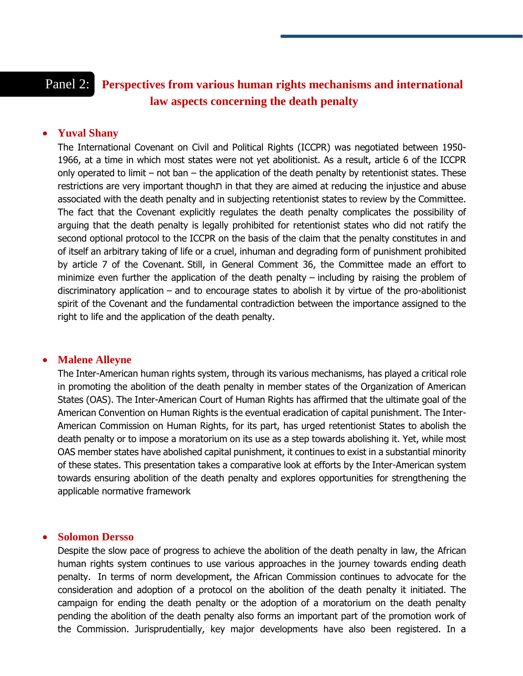# Panel 2: **Perspectives from various human rights mechanisms and international law aspects concerning the death penalty**

## **Yuval Shany**

The International Covenant on Civil and Political Rights (ICCPR) was negotiated between 1950- 1966, at a time in which most states were not yet abolitionist. As a result, article 6 of the ICCPR only operated to limit – not ban – the application of the death penalty by retentionist states. These restrictions are very important thoughת in that they are aimed at reducing the injustice and abuse associated with the death penalty and in subjecting retentionist states to review by the Committee. The fact that the Covenant explicitly regulates the death penalty complicates the possibility of arguing that the death penalty is legally prohibited for retentionist states who did not ratify the second optional protocol to the ICCPR on the basis of the claim that the penalty constitutes in and of itself an arbitrary taking of life or a cruel, inhuman and degrading form of punishment prohibited by article 7 of the Covenant. Still, in General Comment 36, the Committee made an effort to minimize even further the application of the death penalty – including by raising the problem of discriminatory application – and to encourage states to abolish it by virtue of the pro-abolitionist spirit of the Covenant and the fundamental contradiction between the importance assigned to the right to life and the application of the death penalty.

#### **Malene Alleyne**

The Inter-American human rights system, through its various mechanisms, has played a critical role in promoting the abolition of the death penalty in member states of the Organization of American States (OAS). The Inter-American Court of Human Rights has affirmed that the ultimate goal of the American Convention on Human Rights is the eventual eradication of capital punishment. The Inter-American Commission on Human Rights, for its part, has urged retentionist States to abolish the death penalty or to impose a moratorium on its use as a step towards abolishing it. Yet, while most OAS member states have abolished capital punishment, it continues to exist in a substantial minority of these states. This presentation takes a comparative look at efforts by the Inter-American system towards ensuring abolition of the death penalty and explores opportunities for strengthening the applicable normative framework

#### **Solomon Dersso**

Despite the slow pace of progress to achieve the abolition of the death penalty in law, the African human rights system continues to use various approaches in the journey towards ending death penalty. In terms of norm development, the African Commission continues to advocate for the consideration and adoption of a protocol on the abolition of the death penalty it initiated. The campaign for ending the death penalty or the adoption of a moratorium on the death penalty pending the abolition of the death penalty also forms an important part of the promotion work of the Commission. Jurisprudentially, key major developments have also been registered. In a